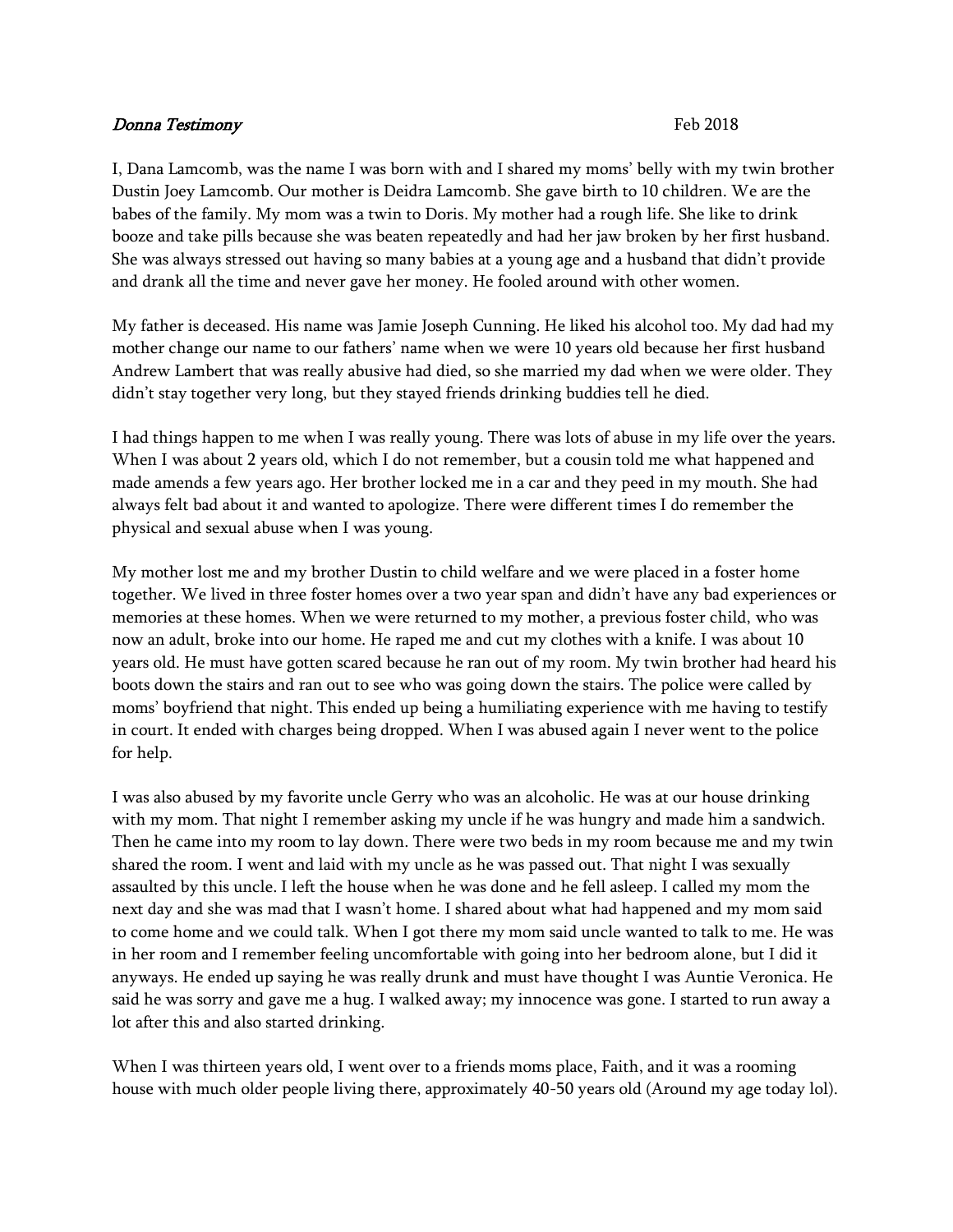## Donna Testimony Feb 2018

I, Dana Lamcomb, was the name I was born with and I shared my moms' belly with my twin brother Dustin Joey Lamcomb. Our mother is Deidra Lamcomb. She gave birth to 10 children. We are the babes of the family. My mom was a twin to Doris. My mother had a rough life. She like to drink booze and take pills because she was beaten repeatedly and had her jaw broken by her first husband. She was always stressed out having so many babies at a young age and a husband that didn't provide and drank all the time and never gave her money. He fooled around with other women.

My father is deceased. His name was Jamie Joseph Cunning. He liked his alcohol too. My dad had my mother change our name to our fathers' name when we were 10 years old because her first husband Andrew Lambert that was really abusive had died, so she married my dad when we were older. They didn't stay together very long, but they stayed friends drinking buddies tell he died.

I had things happen to me when I was really young. There was lots of abuse in my life over the years. When I was about 2 years old, which I do not remember, but a cousin told me what happened and made amends a few years ago. Her brother locked me in a car and they peed in my mouth. She had always felt bad about it and wanted to apologize. There were different times I do remember the physical and sexual abuse when I was young.

My mother lost me and my brother Dustin to child welfare and we were placed in a foster home together. We lived in three foster homes over a two year span and didn't have any bad experiences or memories at these homes. When we were returned to my mother, a previous foster child, who was now an adult, broke into our home. He raped me and cut my clothes with a knife. I was about 10 years old. He must have gotten scared because he ran out of my room. My twin brother had heard his boots down the stairs and ran out to see who was going down the stairs. The police were called by moms' boyfriend that night. This ended up being a humiliating experience with me having to testify in court. It ended with charges being dropped. When I was abused again I never went to the police for help.

I was also abused by my favorite uncle Gerry who was an alcoholic. He was at our house drinking with my mom. That night I remember asking my uncle if he was hungry and made him a sandwich. Then he came into my room to lay down. There were two beds in my room because me and my twin shared the room. I went and laid with my uncle as he was passed out. That night I was sexually assaulted by this uncle. I left the house when he was done and he fell asleep. I called my mom the next day and she was mad that I wasn't home. I shared about what had happened and my mom said to come home and we could talk. When I got there my mom said uncle wanted to talk to me. He was in her room and I remember feeling uncomfortable with going into her bedroom alone, but I did it anyways. He ended up saying he was really drunk and must have thought I was Auntie Veronica. He said he was sorry and gave me a hug. I walked away; my innocence was gone. I started to run away a lot after this and also started drinking.

When I was thirteen years old, I went over to a friends moms place, Faith, and it was a rooming house with much older people living there, approximately 40-50 years old (Around my age today lol).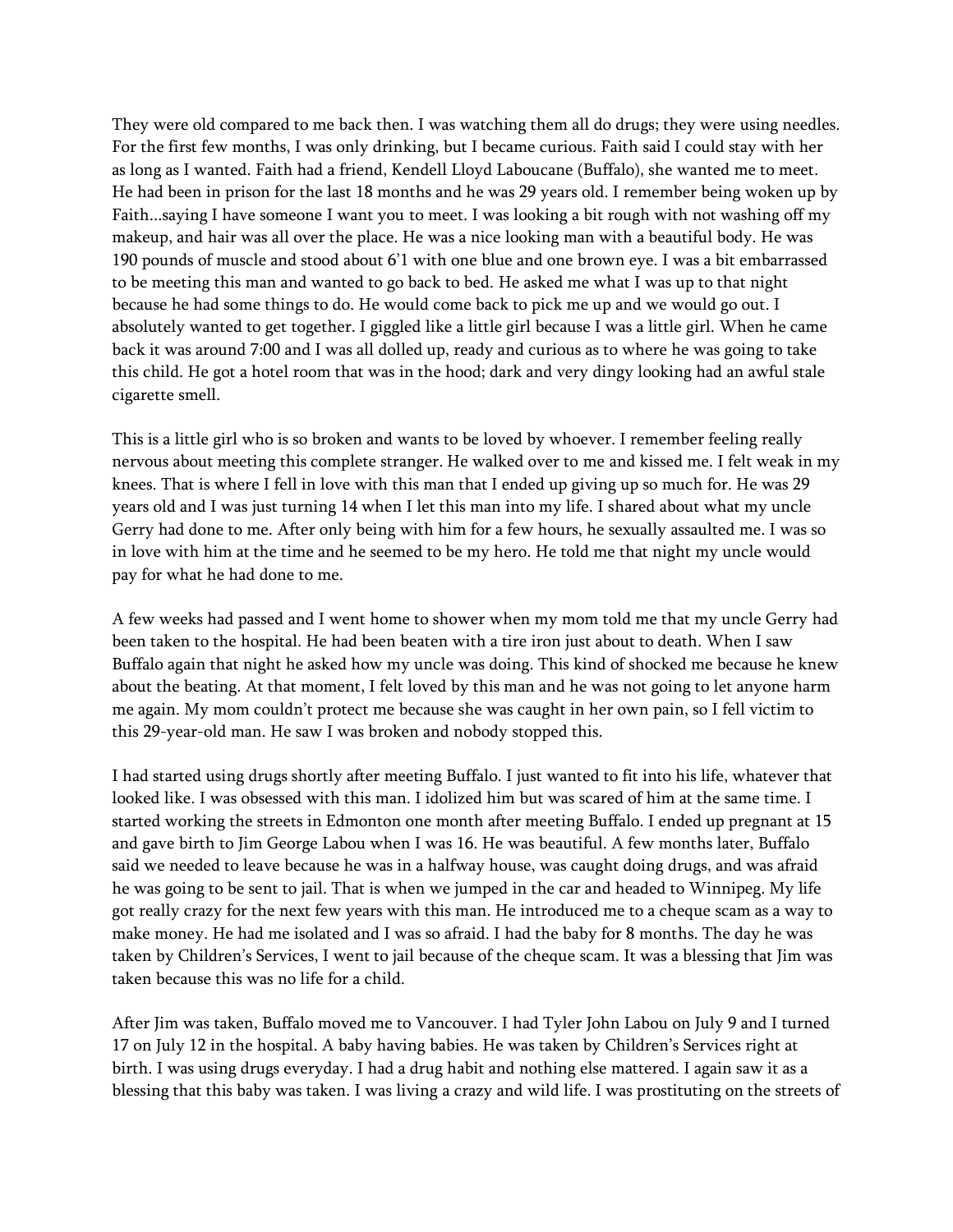They were old compared to me back then. I was watching them all do drugs; they were using needles. For the first few months, I was only drinking, but I became curious. Faith said I could stay with her as long as I wanted. Faith had a friend, Kendell Lloyd Laboucane (Buffalo), she wanted me to meet. He had been in prison for the last 18 months and he was 29 years old. I remember being woken up by Faith...saying I have someone I want you to meet. I was looking a bit rough with not washing off my makeup, and hair was all over the place. He was a nice looking man with a beautiful body. He was 190 pounds of muscle and stood about 6'1 with one blue and one brown eye. I was a bit embarrassed to be meeting this man and wanted to go back to bed. He asked me what I was up to that night because he had some things to do. He would come back to pick me up and we would go out. I absolutely wanted to get together. I giggled like a little girl because I was a little girl. When he came back it was around 7:00 and I was all dolled up, ready and curious as to where he was going to take this child. He got a hotel room that was in the hood; dark and very dingy looking had an awful stale cigarette smell.

This is a little girl who is so broken and wants to be loved by whoever. I remember feeling really nervous about meeting this complete stranger. He walked over to me and kissed me. I felt weak in my knees. That is where I fell in love with this man that I ended up giving up so much for. He was 29 years old and I was just turning 14 when I let this man into my life. I shared about what my uncle Gerry had done to me. After only being with him for a few hours, he sexually assaulted me. I was so in love with him at the time and he seemed to be my hero. He told me that night my uncle would pay for what he had done to me.

A few weeks had passed and I went home to shower when my mom told me that my uncle Gerry had been taken to the hospital. He had been beaten with a tire iron just about to death. When I saw Buffalo again that night he asked how my uncle was doing. This kind of shocked me because he knew about the beating. At that moment, I felt loved by this man and he was not going to let anyone harm me again. My mom couldn't protect me because she was caught in her own pain, so I fell victim to this 29-year-old man. He saw I was broken and nobody stopped this.

I had started using drugs shortly after meeting Buffalo. I just wanted to fit into his life, whatever that looked like. I was obsessed with this man. I idolized him but was scared of him at the same time. I started working the streets in Edmonton one month after meeting Buffalo. I ended up pregnant at 15 and gave birth to Jim George Labou when I was 16. He was beautiful. A few months later, Buffalo said we needed to leave because he was in a halfway house, was caught doing drugs, and was afraid he was going to be sent to jail. That is when we jumped in the car and headed to Winnipeg. My life got really crazy for the next few years with this man. He introduced me to a cheque scam as a way to make money. He had me isolated and I was so afraid. I had the baby for 8 months. The day he was taken by Children's Services, I went to jail because of the cheque scam. It was a blessing that Jim was taken because this was no life for a child.

After Jim was taken, Buffalo moved me to Vancouver. I had Tyler John Labou on July 9 and I turned 17 on July 12 in the hospital. A baby having babies. He was taken by Children's Services right at birth. I was using drugs everyday. I had a drug habit and nothing else mattered. I again saw it as a blessing that this baby was taken. I was living a crazy and wild life. I was prostituting on the streets of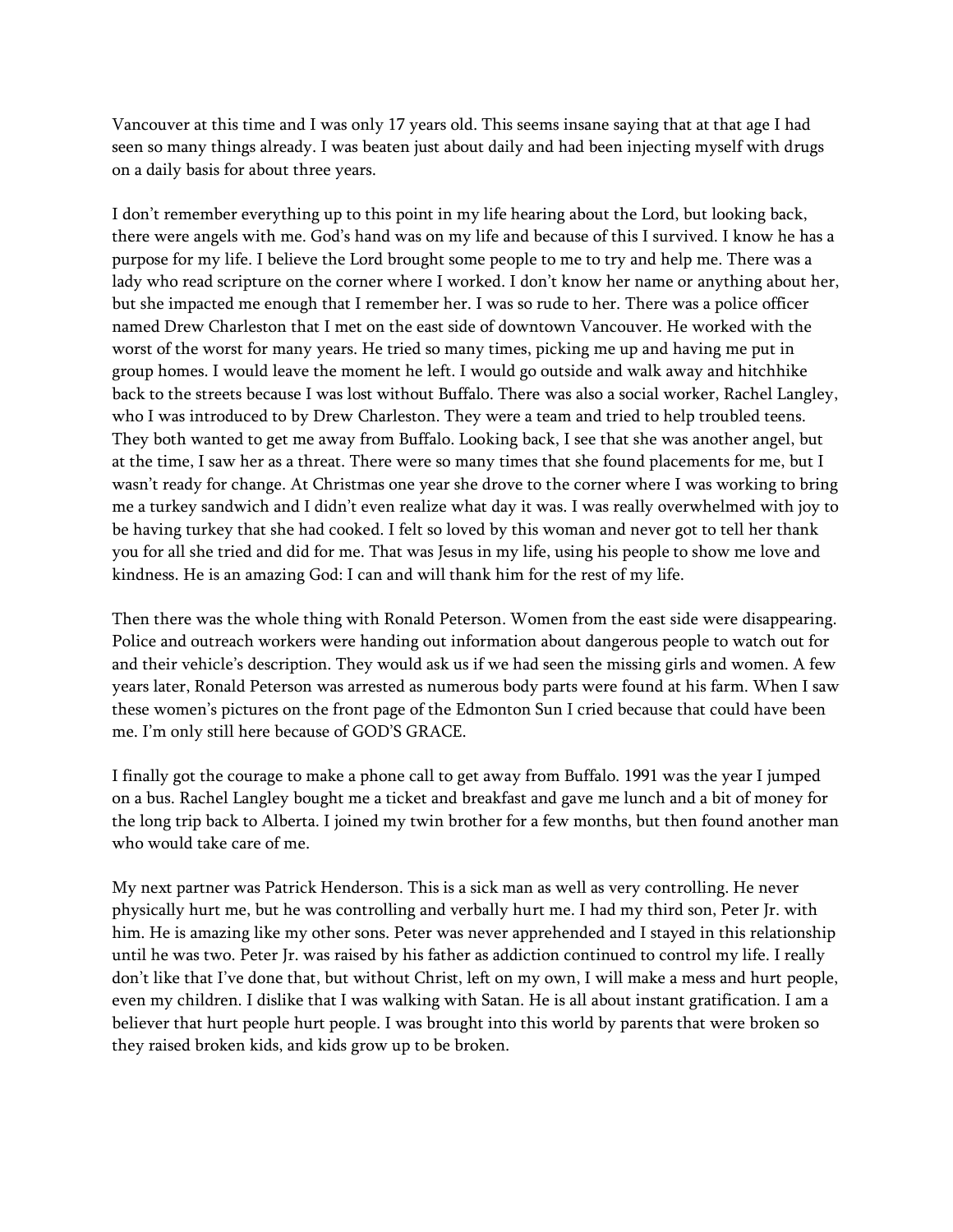Vancouver at this time and I was only 17 years old. This seems insane saying that at that age I had seen so many things already. I was beaten just about daily and had been injecting myself with drugs on a daily basis for about three years.

I don't remember everything up to this point in my life hearing about the Lord, but looking back, there were angels with me. God's hand was on my life and because of this I survived. I know he has a purpose for my life. I believe the Lord brought some people to me to try and help me. There was a lady who read scripture on the corner where I worked. I don't know her name or anything about her, but she impacted me enough that I remember her. I was so rude to her. There was a police officer named Drew Charleston that I met on the east side of downtown Vancouver. He worked with the worst of the worst for many years. He tried so many times, picking me up and having me put in group homes. I would leave the moment he left. I would go outside and walk away and hitchhike back to the streets because I was lost without Buffalo. There was also a social worker, Rachel Langley, who I was introduced to by Drew Charleston. They were a team and tried to help troubled teens. They both wanted to get me away from Buffalo. Looking back, I see that she was another angel, but at the time, I saw her as a threat. There were so many times that she found placements for me, but I wasn't ready for change. At Christmas one year she drove to the corner where I was working to bring me a turkey sandwich and I didn't even realize what day it was. I was really overwhelmed with joy to be having turkey that she had cooked. I felt so loved by this woman and never got to tell her thank you for all she tried and did for me. That was Jesus in my life, using his people to show me love and kindness. He is an amazing God: I can and will thank him for the rest of my life.

Then there was the whole thing with Ronald Peterson. Women from the east side were disappearing. Police and outreach workers were handing out information about dangerous people to watch out for and their vehicle's description. They would ask us if we had seen the missing girls and women. A few years later, Ronald Peterson was arrested as numerous body parts were found at his farm. When I saw these women's pictures on the front page of the Edmonton Sun I cried because that could have been me. I'm only still here because of GOD'S GRACE.

I finally got the courage to make a phone call to get away from Buffalo. 1991 was the year I jumped on a bus. Rachel Langley bought me a ticket and breakfast and gave me lunch and a bit of money for the long trip back to Alberta. I joined my twin brother for a few months, but then found another man who would take care of me.

My next partner was Patrick Henderson. This is a sick man as well as very controlling. He never physically hurt me, but he was controlling and verbally hurt me. I had my third son, Peter Jr. with him. He is amazing like my other sons. Peter was never apprehended and I stayed in this relationship until he was two. Peter Jr. was raised by his father as addiction continued to control my life. I really don't like that I've done that, but without Christ, left on my own, I will make a mess and hurt people, even my children. I dislike that I was walking with Satan. He is all about instant gratification. I am a believer that hurt people hurt people. I was brought into this world by parents that were broken so they raised broken kids, and kids grow up to be broken.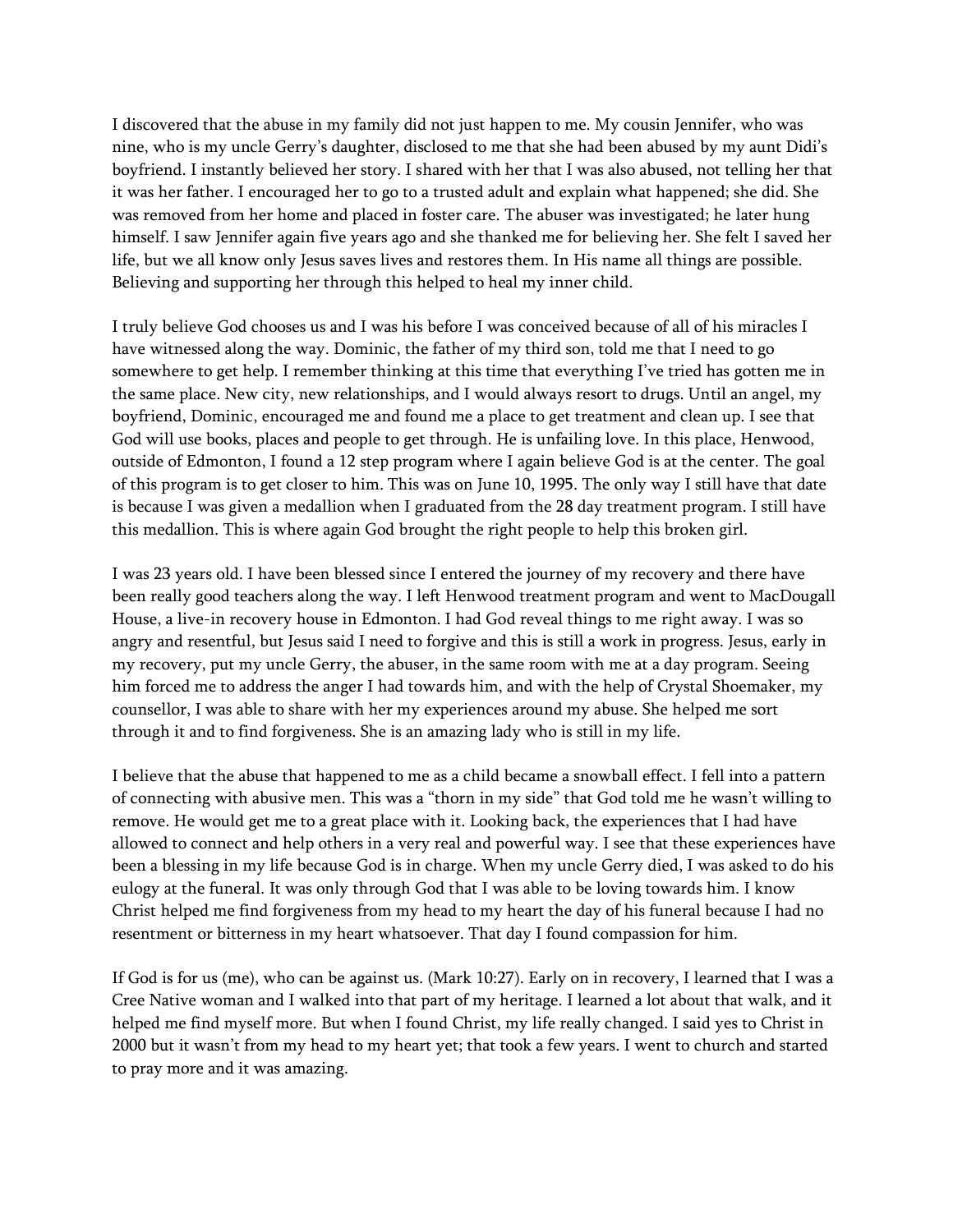I discovered that the abuse in my family did not just happen to me. My cousin Jennifer, who was nine, who is my uncle Gerry's daughter, disclosed to me that she had been abused by my aunt Didi's boyfriend. I instantly believed her story. I shared with her that I was also abused, not telling her that it was her father. I encouraged her to go to a trusted adult and explain what happened; she did. She was removed from her home and placed in foster care. The abuser was investigated; he later hung himself. I saw Jennifer again five years ago and she thanked me for believing her. She felt I saved her life, but we all know only Jesus saves lives and restores them. In His name all things are possible. Believing and supporting her through this helped to heal my inner child.

I truly believe God chooses us and I was his before I was conceived because of all of his miracles I have witnessed along the way. Dominic, the father of my third son, told me that I need to go somewhere to get help. I remember thinking at this time that everything I've tried has gotten me in the same place. New city, new relationships, and I would always resort to drugs. Until an angel, my boyfriend, Dominic, encouraged me and found me a place to get treatment and clean up. I see that God will use books, places and people to get through. He is unfailing love. In this place, Henwood, outside of Edmonton, I found a 12 step program where I again believe God is at the center. The goal of this program is to get closer to him. This was on June 10, 1995. The only way I still have that date is because I was given a medallion when I graduated from the 28 day treatment program. I still have this medallion. This is where again God brought the right people to help this broken girl.

I was 23 years old. I have been blessed since I entered the journey of my recovery and there have been really good teachers along the way. I left Henwood treatment program and went to MacDougall House, a live-in recovery house in Edmonton. I had God reveal things to me right away. I was so angry and resentful, but Jesus said I need to forgive and this is still a work in progress. Jesus, early in my recovery, put my uncle Gerry, the abuser, in the same room with me at a day program. Seeing him forced me to address the anger I had towards him, and with the help of Crystal Shoemaker, my counsellor, I was able to share with her my experiences around my abuse. She helped me sort through it and to find forgiveness. She is an amazing lady who is still in my life.

I believe that the abuse that happened to me as a child became a snowball effect. I fell into a pattern of connecting with abusive men. This was a "thorn in my side" that God told me he wasn't willing to remove. He would get me to a great place with it. Looking back, the experiences that I had have allowed to connect and help others in a very real and powerful way. I see that these experiences have been a blessing in my life because God is in charge. When my uncle Gerry died, I was asked to do his eulogy at the funeral. It was only through God that I was able to be loving towards him. I know Christ helped me find forgiveness from my head to my heart the day of his funeral because I had no resentment or bitterness in my heart whatsoever. That day I found compassion for him.

If God is for us (me), who can be against us. (Mark 10:27). Early on in recovery, I learned that I was a Cree Native woman and I walked into that part of my heritage. I learned a lot about that walk, and it helped me find myself more. But when I found Christ, my life really changed. I said yes to Christ in 2000 but it wasn't from my head to my heart yet; that took a few years. I went to church and started to pray more and it was amazing.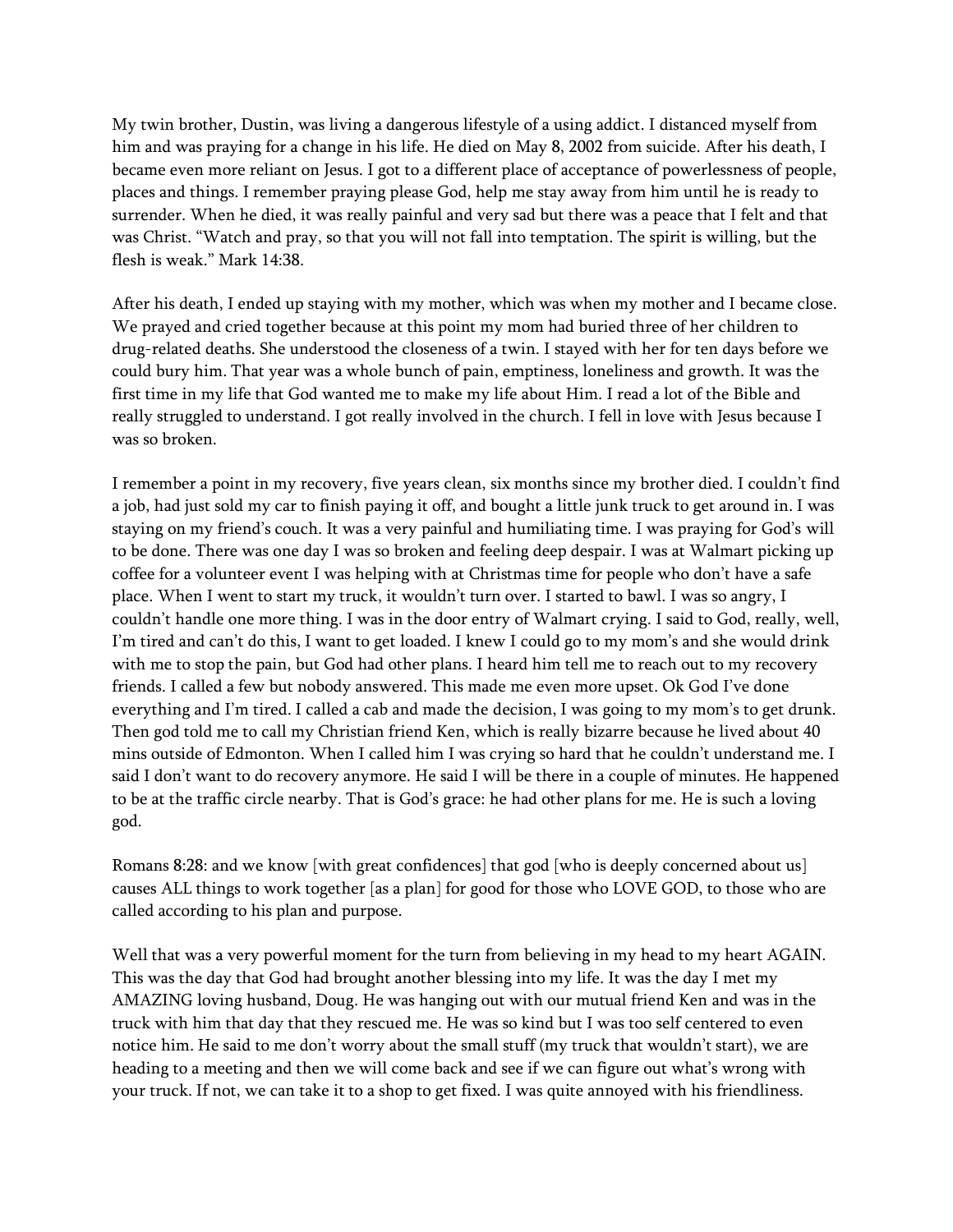My twin brother, Dustin, was living a dangerous lifestyle of a using addict. I distanced myself from him and was praying for a change in his life. He died on May 8, 2002 from suicide. After his death, I became even more reliant on Jesus. I got to a different place of acceptance of powerlessness of people, places and things. I remember praying please God, help me stay away from him until he is ready to surrender. When he died, it was really painful and very sad but there was a peace that I felt and that was Christ. "Watch and pray, so that you will not fall into temptation. The spirit is willing, but the flesh is weak." Mark 14:38.

After his death, I ended up staying with my mother, which was when my mother and I became close. We prayed and cried together because at this point my mom had buried three of her children to drug-related deaths. She understood the closeness of a twin. I stayed with her for ten days before we could bury him. That year was a whole bunch of pain, emptiness, loneliness and growth. It was the first time in my life that God wanted me to make my life about Him. I read a lot of the Bible and really struggled to understand. I got really involved in the church. I fell in love with Jesus because I was so broken.

I remember a point in my recovery, five years clean, six months since my brother died. I couldn't find a job, had just sold my car to finish paying it off, and bought a little junk truck to get around in. I was staying on my friend's couch. It was a very painful and humiliating time. I was praying for God's will to be done. There was one day I was so broken and feeling deep despair. I was at Walmart picking up coffee for a volunteer event I was helping with at Christmas time for people who don't have a safe place. When I went to start my truck, it wouldn't turn over. I started to bawl. I was so angry, I couldn't handle one more thing. I was in the door entry of Walmart crying. I said to God, really, well, I'm tired and can't do this, I want to get loaded. I knew I could go to my mom's and she would drink with me to stop the pain, but God had other plans. I heard him tell me to reach out to my recovery friends. I called a few but nobody answered. This made me even more upset. Ok God I've done everything and I'm tired. I called a cab and made the decision, I was going to my mom's to get drunk. Then god told me to call my Christian friend Ken, which is really bizarre because he lived about 40 mins outside of Edmonton. When I called him I was crying so hard that he couldn't understand me. I said I don't want to do recovery anymore. He said I will be there in a couple of minutes. He happened to be at the traffic circle nearby. That is God's grace: he had other plans for me. He is such a loving god.

Romans 8:28: and we know [with great confidences] that god [who is deeply concerned about us] causes ALL things to work together [as a plan] for good for those who LOVE GOD, to those who are called according to his plan and purpose.

Well that was a very powerful moment for the turn from believing in my head to my heart AGAIN. This was the day that God had brought another blessing into my life. It was the day I met my AMAZING loving husband, Doug. He was hanging out with our mutual friend Ken and was in the truck with him that day that they rescued me. He was so kind but I was too self centered to even notice him. He said to me don't worry about the small stuff (my truck that wouldn't start), we are heading to a meeting and then we will come back and see if we can figure out what's wrong with your truck. If not, we can take it to a shop to get fixed. I was quite annoyed with his friendliness.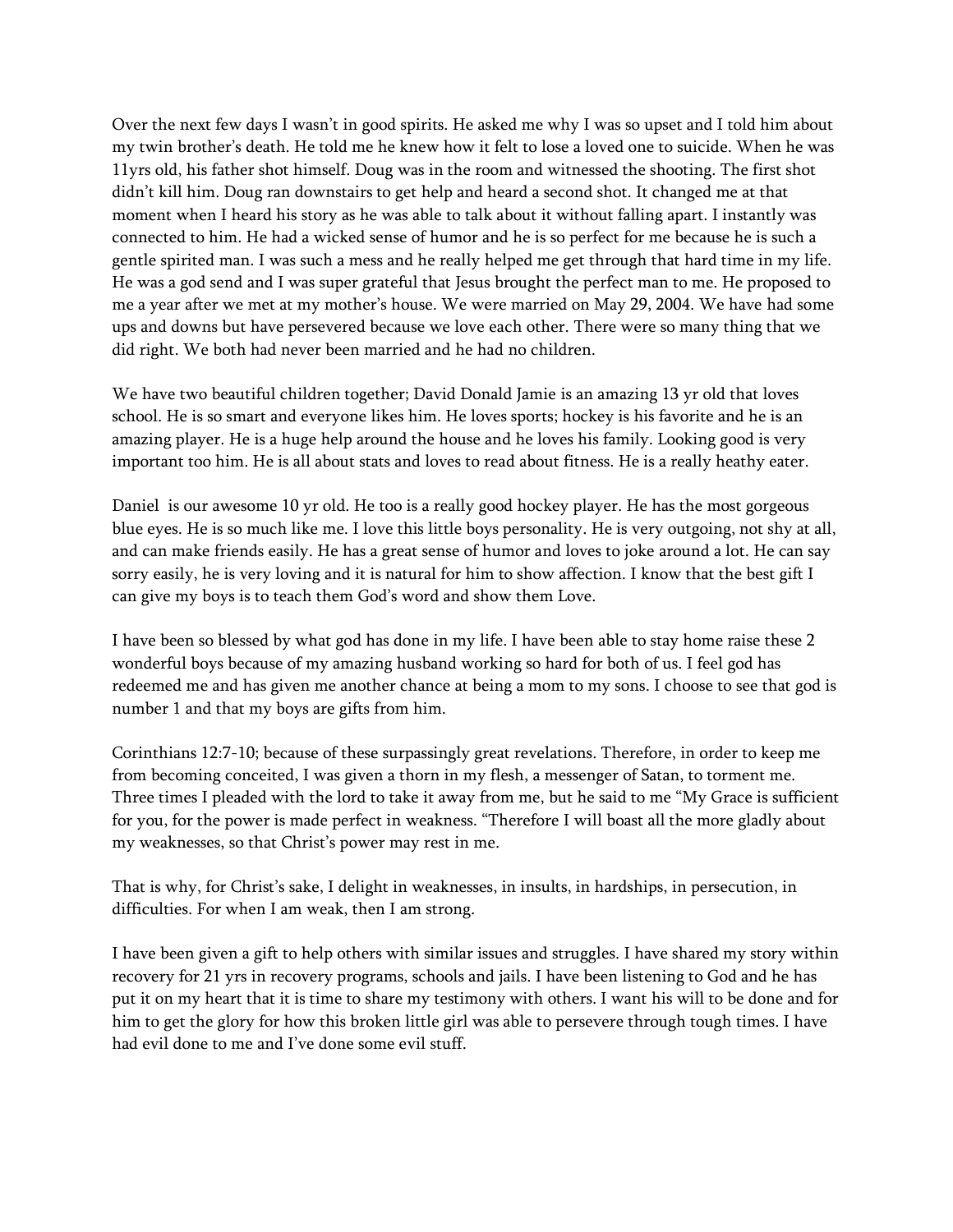Over the next few days I wasn't in good spirits. He asked me why I was so upset and I told him about my twin brother's death. He told me he knew how it felt to lose a loved one to suicide. When he was 11yrs old, his father shot himself. Doug was in the room and witnessed the shooting. The first shot didn't kill him. Doug ran downstairs to get help and heard a second shot. It changed me at that moment when I heard his story as he was able to talk about it without falling apart. I instantly was connected to him. He had a wicked sense of humor and he is so perfect for me because he is such a gentle spirited man. I was such a mess and he really helped me get through that hard time in my life. He was a god send and I was super grateful that Jesus brought the perfect man to me. He proposed to me a year after we met at my mother's house. We were married on May 29, 2004. We have had some ups and downs but have persevered because we love each other. There were so many thing that we did right. We both had never been married and he had no children.

We have two beautiful children together; David Donald Jamie is an amazing 13 yr old that loves school. He is so smart and everyone likes him. He loves sports; hockey is his favorite and he is an amazing player. He is a huge help around the house and he loves his family. Looking good is very important too him. He is all about stats and loves to read about fitness. He is a really heathy eater.

Daniel is our awesome 10 yr old. He too is a really good hockey player. He has the most gorgeous blue eyes. He is so much like me. I love this little boys personality. He is very outgoing, not shy at all, and can make friends easily. He has a great sense of humor and loves to joke around a lot. He can say sorry easily, he is very loving and it is natural for him to show affection. I know that the best gift I can give my boys is to teach them God's word and show them Love.

I have been so blessed by what god has done in my life. I have been able to stay home raise these 2 wonderful boys because of my amazing husband working so hard for both of us. I feel god has redeemed me and has given me another chance at being a mom to my sons. I choose to see that god is number 1 and that my boys are gifts from him.

Corinthians 12:7-10; because of these surpassingly great revelations. Therefore, in order to keep me from becoming conceited, I was given a thorn in my flesh, a messenger of Satan, to torment me. Three times I pleaded with the lord to take it away from me, but he said to me "My Grace is sufficient for you, for the power is made perfect in weakness. "Therefore I will boast all the more gladly about my weaknesses, so that Christ's power may rest in me.

That is why, for Christ's sake, I delight in weaknesses, in insults, in hardships, in persecution, in difficulties. For when I am weak, then I am strong.

I have been given a gift to help others with similar issues and struggles. I have shared my story within recovery for 21 yrs in recovery programs, schools and jails. I have been listening to God and he has put it on my heart that it is time to share my testimony with others. I want his will to be done and for him to get the glory for how this broken little girl was able to persevere through tough times. I have had evil done to me and I've done some evil stuff.